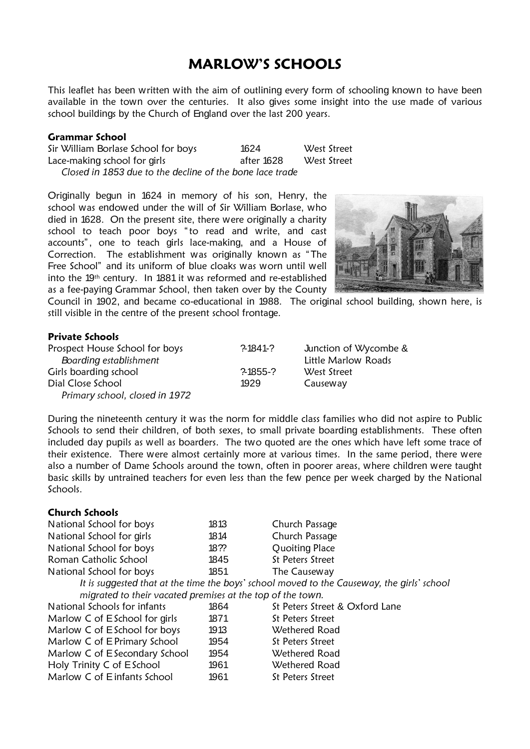## **MARLOW'S SCHOOLS**

This leaflet has been written with the aim of outlining every form of schooling known to have been available in the town over the centuries. It also gives some insight into the use made of various school buildings by the Church of England over the last 200 years.

## **Grammar School**

Sir William Borlase School for boys 1624 West Street Lace-making school for girls and the safter 1628 West Street  *Closed in 1853 due to the decline of the bone lace trade*

Originally begun in 1624 in memory of his son, Henry, the school was endowed under the will of Sir William Borlase, who died in 1628. On the present site, there were originally a charity school to teach poor boys "to read and write, and cast accounts", one to teach girls lace-making, and a House of Correction. The establishment was originally known as " The Free School" and its uniform of blue cloaks was worn until well into the 19th century. In 1881 it was reformed and re-established as a fee-paying Grammar School, then taken over by the County



Council in 1902, and became co-educational in 1988. The original school building, shown here, is still visible in the centre of the present school frontage.

## **Private Schools**

| Prospect House School for boys | ?1841?     | Junction of Wycombe &      |
|--------------------------------|------------|----------------------------|
| Boarding establishment         |            | <b>Little Marlow Roads</b> |
| Girls boarding school          | $2-1855-2$ | West Street                |
| Dial Close School              | 1929       | Causeway                   |
| Primary school, closed in 1972 |            |                            |

During the nineteenth century it was the norm for middle class families who did not aspire to Public Schools to send their children, of both sexes, to small private boarding establishments. These often included day pupils as well as boarders. The two quoted are the ones which have left some trace of their existence. There were almost certainly more at various times. In the same period, there were also a number of Dame Schools around the town, often in poorer areas, where children were taught basic skills by untrained teachers for even less than the few pence per week charged by the National Schools.

| <b>Church Schools</b>                                      |      |                                                                                            |  |  |
|------------------------------------------------------------|------|--------------------------------------------------------------------------------------------|--|--|
| National School for boys                                   | 1813 | Church Passage                                                                             |  |  |
| National School for girls                                  | 1814 | Church Passage                                                                             |  |  |
| National School for boys                                   | 18?? | <b>Quoiting Place</b>                                                                      |  |  |
| Roman Catholic School                                      | 1845 | St Peters Street                                                                           |  |  |
| National School for boys                                   | 1851 | The Causeway                                                                               |  |  |
|                                                            |      | It is suggested that at the time the boys' school moved to the Causeway, the girls' school |  |  |
| migrated to their vacated premises at the top of the town. |      |                                                                                            |  |  |
| National Schools for infants                               | 1864 | St Peters Street & Oxford Lane                                                             |  |  |
| Marlow C of E School for girls                             | 1871 | St Peters Street                                                                           |  |  |
| Marlow C of E School for boys                              | 1913 | Wethered Road                                                                              |  |  |
| Marlow C of E Primary School                               | 1954 | St Peters Street                                                                           |  |  |
| Marlow C of E Secondary School                             | 1954 | Wethered Road                                                                              |  |  |
| Holy Trinity C of E School                                 | 1961 | Wethered Road                                                                              |  |  |
| Marlow C of Einfants School                                | 1961 | St Peters Street                                                                           |  |  |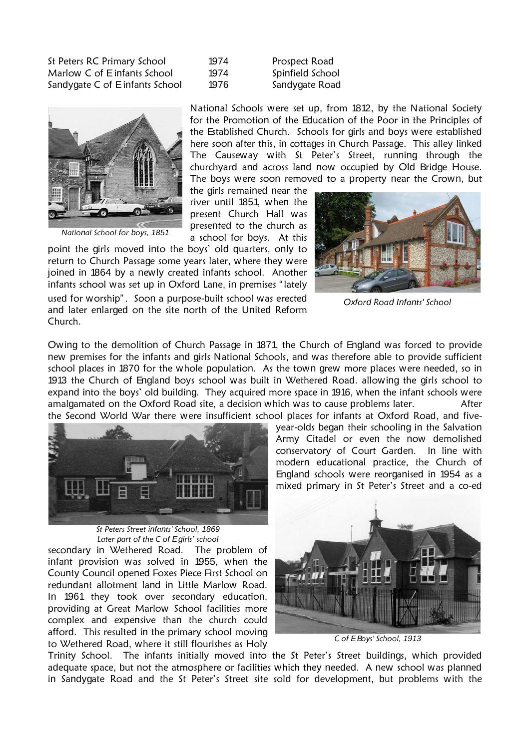St Peters RC Primary School 1974 Prospect Road Marlow C of Einfants School 1974 Spinfield School Sandygate C of Einfants School 1976 Sandygate Road

| 1974 |  |
|------|--|
| 1974 |  |
| 1976 |  |



*National School for boys, 1851*

National Schools were set up, from 1812, by the National Society for the Promotion of the Education of the Poor in the Principles of the Established Church. Schools for girls and boys were established here soon after this, in cottages in Church Passage. This alley linked The Causeway with St Peter's Street, running through the churchyard and across land now occupied by Old Bridge House. The boys were soon removed to a property near the Crown, but

the girls remained near the river until 1851, when the present Church Hall was presented to the church as a school for boys. At this



*Oxford Road Infants' School*

Owing to the demolition of Church Passage in 1871, the Church of England was forced to provide new premises for the infants and girls National Schools, and was therefore able to provide sufficient school places in 1870 for the whole population. As the town grew more places were needed, so in 1913 the Church of England boys school was built in Wethered Road. allowing the girls school to expand into the boys' old building. They acquired more space in 1916, when the infant schools were amalgamated on the Oxford Road site, a decision which was to cause problems later. After the Second World War there were insufficient school places for infants at Oxford Road, and five-



*St Peters Street infants' School, 1869 Later part of the C of Egirls' school*

secondary in Wethered Road. The problem of infant provision was solved in 1955, when the County Council opened Foxes Piece First School on redundant allotment land in Little Marlow Road. In 1961 they took over secondary education, providing at Great Marlow School facilities more complex and expensive than the church could afford. This resulted in the primary school moving to Wethered Road, where it still flourishes as Holy

year-olds began their schooling in the Salvation Army Citadel or even the now demolished conservatory of Court Garden. In line with modern educational practice, the Church of England schools were reorganised in 1954 as a mixed primary in St Peter's Street and a co-ed



*C of EBoys' School, 1913*

Trinity School. The infants initially moved into the St Peter's Street buildings, which provided adequate space, but not the atmosphere or facilities which they needed. A new school was planned in Sandygate Road and the St Peter's Street site sold for development, but problems with the